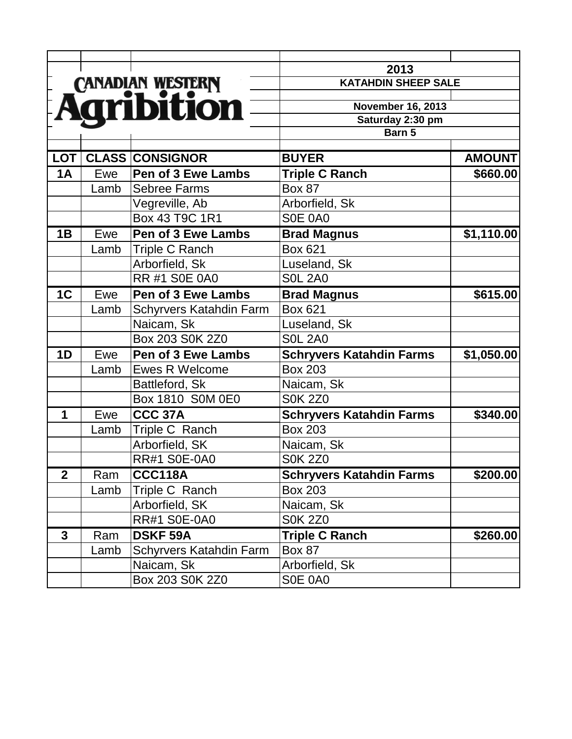|                  |      |                                | 2013                            |               |
|------------------|------|--------------------------------|---------------------------------|---------------|
|                  |      |                                | <b>KATAHDIN SHEEP SALE</b>      |               |
| CANADIAN WESTERN |      |                                | <b>November 16, 2013</b>        |               |
|                  |      |                                | Saturday 2:30 pm                |               |
|                  |      |                                | Barn 5                          |               |
| <b>LOT</b>       |      | <b>CLASS CONSIGNOR</b>         | <b>BUYER</b>                    | <b>AMOUNT</b> |
| 1A               | Ewe  | <b>Pen of 3 Ewe Lambs</b>      | <b>Triple C Ranch</b>           | \$660.00      |
|                  | Lamb | <b>Sebree Farms</b>            | <b>Box 87</b>                   |               |
|                  |      | Vegreville, Ab                 | Arborfield, Sk                  |               |
|                  |      | Box 43 T9C 1R1                 | SOE 0A0                         |               |
| 1B               | Ewe  | <b>Pen of 3 Ewe Lambs</b>      | <b>Brad Magnus</b>              | \$1,110.00    |
|                  | Lamb | Triple C Ranch                 | Box 621                         |               |
|                  |      | Arborfield, Sk                 | Luseland, Sk                    |               |
|                  |      | <b>RR #1 S0E 0A0</b>           | <b>S0L 2A0</b>                  |               |
| 1C               | Ewe  | <b>Pen of 3 Ewe Lambs</b>      | <b>Brad Magnus</b>              | \$615.00      |
|                  | Lamb | <b>Schyrvers Katahdin Farm</b> | Box 621                         |               |
|                  |      | Naicam, Sk                     | Luseland, Sk                    |               |
|                  |      | Box 203 S0K 2Z0                | <b>SOL 2A0</b>                  |               |
| 1D               | Ewe  | <b>Pen of 3 Ewe Lambs</b>      | <b>Schryvers Katahdin Farms</b> | \$1,050.00    |
|                  | Lamb | <b>Ewes R Welcome</b>          | <b>Box 203</b>                  |               |
|                  |      | Battleford, Sk                 | Naicam, Sk                      |               |
|                  |      | Box 1810 SOM 0E0               | <b>S0K 2Z0</b>                  |               |
| 1                | Ewe  | CCC 37A                        | <b>Schryvers Katahdin Farms</b> | \$340.00      |
|                  | Lamb | Triple C Ranch                 | <b>Box 203</b>                  |               |
|                  |      | Arborfield, SK                 | Naicam, Sk                      |               |
|                  |      | <b>RR#1 S0E-0A0</b>            | <b>S0K 2Z0</b>                  |               |
| $\boldsymbol{2}$ | Ram  | <b>CCC118A</b>                 | <b>Schryvers Katahdin Farms</b> | \$200.00      |
|                  | Lamb | Triple C Ranch                 | <b>Box 203</b>                  |               |
|                  |      | Arborfield, SK                 | Naicam, Sk                      |               |
|                  |      | <b>RR#1 S0E-0A0</b>            | <b>S0K 2Z0</b>                  |               |
| $\mathbf{3}$     | Ram  | <b>DSKF 59A</b>                | <b>Triple C Ranch</b>           | \$260.00      |
|                  | Lamb | <b>Schyrvers Katahdin Farm</b> | <b>Box 87</b>                   |               |
|                  |      | Naicam, Sk                     | Arborfield, Sk                  |               |
|                  |      | Box 203 S0K 2Z0                | SOE 0A0                         |               |